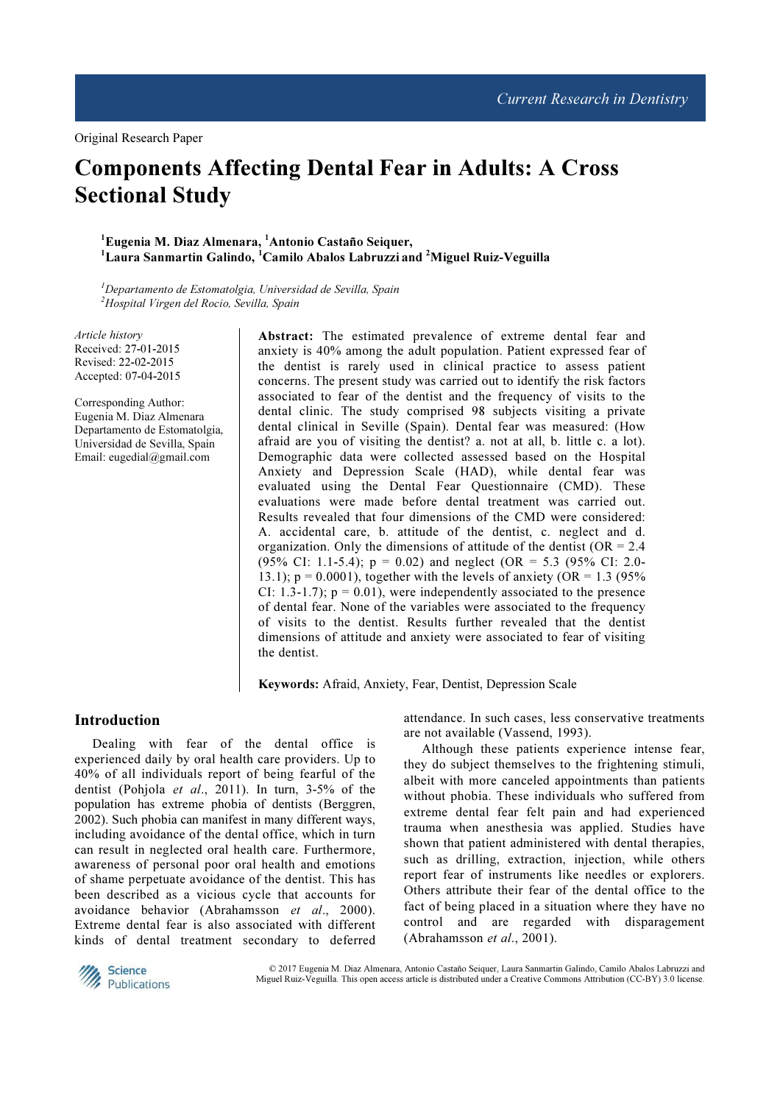# Components Affecting Dental Fear in Adults: A Cross Sectional Study

 $^1$ Eugenia M. Diaz Almenara,  $^1$ Antonio Castaño Seiquer,  $^1$ Laura Sanmartin Galindo,  $^1$ Camilo Abalos Labruzzi and <sup>2</sup>Miguel Ruiz-Veguilla

 $1$ Departamento de Estomatolgia, Universidad de Sevilla, Spain <sup>2</sup>Hospital Virgen del Rocio, Sevilla, Spain

Article history Received: 27-01-2015 Revised: 22-02-2015 Accepted: 07-04-2015

Corresponding Author: Eugenia M. Diaz Almenara Departamento de Estomatolgia, Universidad de Sevilla, Spain Email: eugedial@gmail.com

Abstract: The estimated prevalence of extreme dental fear and anxiety is 40% among the adult population. Patient expressed fear of the dentist is rarely used in clinical practice to assess patient concerns. The present study was carried out to identify the risk factors associated to fear of the dentist and the frequency of visits to the dental clinic. The study comprised 98 subjects visiting a private dental clinical in Seville (Spain). Dental fear was measured: (How afraid are you of visiting the dentist? a. not at all, b. little c. a lot). Demographic data were collected assessed based on the Hospital Anxiety and Depression Scale (HAD), while dental fear was evaluated using the Dental Fear Questionnaire (CMD). These evaluations were made before dental treatment was carried out. Results revealed that four dimensions of the CMD were considered: A. accidental care, b. attitude of the dentist, c. neglect and d. organization. Only the dimensions of attitude of the dentist ( $OR = 2.4$ ) (95% CI: 1.1-5.4);  $p = 0.02$ ) and neglect (OR = 5.3 (95% CI: 2.0-13.1);  $p = 0.0001$ , together with the levels of anxiety (OR = 1.3 (95%) CI: 1.3-1.7);  $p = 0.01$ , were independently associated to the presence of dental fear. None of the variables were associated to the frequency of visits to the dentist. Results further revealed that the dentist dimensions of attitude and anxiety were associated to fear of visiting the dentist.

Keywords: Afraid, Anxiety, Fear, Dentist, Depression Scale

## Introduction

Dealing with fear of the dental office is experienced daily by oral health care providers. Up to 40% of all individuals report of being fearful of the dentist (Pohjola et al., 2011). In turn, 3-5% of the population has extreme phobia of dentists (Berggren, 2002). Such phobia can manifest in many different ways, including avoidance of the dental office, which in turn can result in neglected oral health care. Furthermore, awareness of personal poor oral health and emotions of shame perpetuate avoidance of the dentist. This has been described as a vicious cycle that accounts for avoidance behavior (Abrahamsson et al., 2000). Extreme dental fear is also associated with different kinds of dental treatment secondary to deferred

attendance. In such cases, less conservative treatments are not available (Vassend, 1993).

Although these patients experience intense fear, they do subject themselves to the frightening stimuli, albeit with more canceled appointments than patients without phobia. These individuals who suffered from extreme dental fear felt pain and had experienced trauma when anesthesia was applied. Studies have shown that patient administered with dental therapies, such as drilling, extraction, injection, while others report fear of instruments like needles or explorers. Others attribute their fear of the dental office to the fact of being placed in a situation where they have no control and are regarded with disparagement (Abrahamsson et al., 2001).



© 2017 Eugenia M. Diaz Almenara, Antonio Castaño Seiquer, Laura Sanmartin Galindo, Camilo Abalos Labruzzi and Miguel Ruiz-Veguilla. This open access article is distributed under a Creative Commons Attribution (CC-BY) 3.0 license.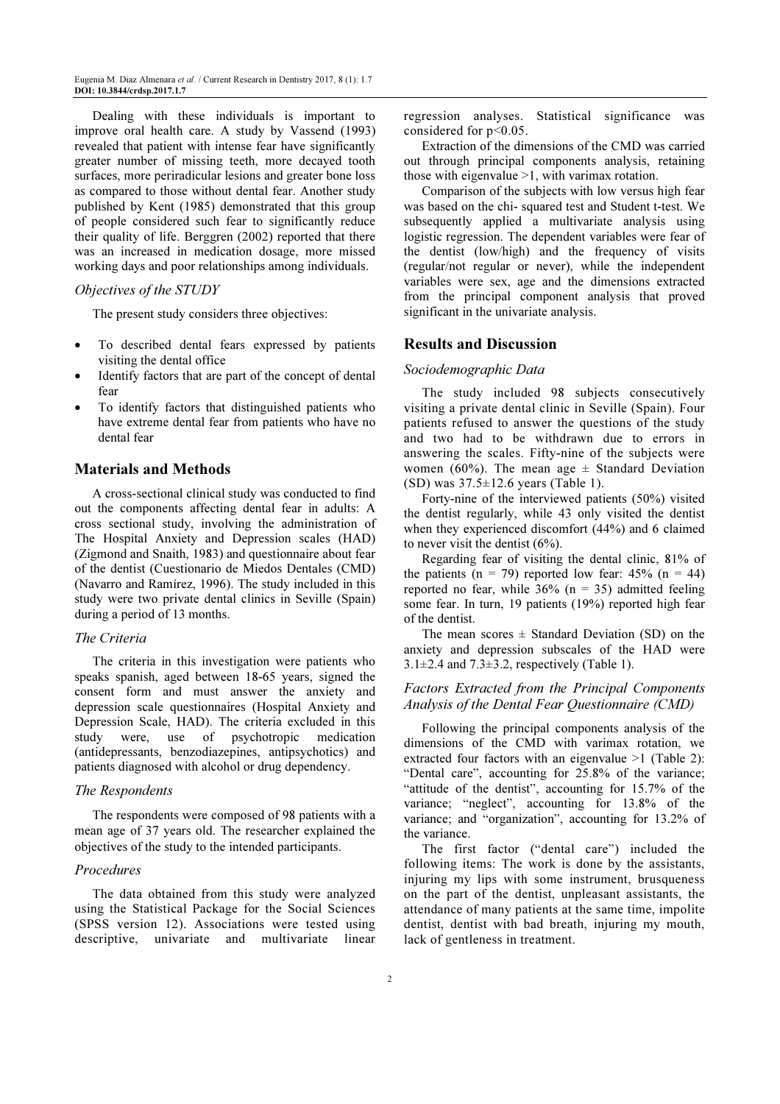Dealing with these individuals is important to improve oral health care. A study by Vassend (1993) revealed that patient with intense fear have significantly greater number of missing teeth, more decayed tooth surfaces, more periradicular lesions and greater bone loss as compared to those without dental fear. Another study published by Kent (1985) demonstrated that this group of people considered such fear to significantly reduce their quality of life. Berggren (2002) reported that there was an increased in medication dosage, more missed working days and poor relationships among individuals.

#### Objectives of the STUDY

The present study considers three objectives:

- To described dental fears expressed by patients visiting the dental office
- Identify factors that are part of the concept of dental fear
- To identify factors that distinguished patients who have extreme dental fear from patients who have no dental fear

## Materials and Methods

A cross-sectional clinical study was conducted to find out the components affecting dental fear in adults: A cross sectional study, involving the administration of The Hospital Anxiety and Depression scales (HAD) (Zigmond and Snaith, 1983) and questionnaire about fear of the dentist (Cuestionario de Miedos Dentales (CMD) (Navarro and Ramírez, 1996). The study included in this study were two private dental clinics in Seville (Spain) during a period of 13 months.

### The Criteria

The criteria in this investigation were patients who speaks spanish, aged between 18-65 years, signed the consent form and must answer the anxiety and depression scale questionnaires (Hospital Anxiety and Depression Scale, HAD). The criteria excluded in this study were, use of psychotropic medication (antidepressants, benzodiazepines, antipsychotics) and patients diagnosed with alcohol or drug dependency.

#### The Respondents

The respondents were composed of 98 patients with a mean age of 37 years old. The researcher explained the objectives of the study to the intended participants.

#### Procedures

The data obtained from this study were analyzed using the Statistical Package for the Social Sciences (SPSS version 12). Associations were tested using descriptive, univariate and multivariate linear regression analyses. Statistical significance was considered for p<0.05.

Extraction of the dimensions of the CMD was carried out through principal components analysis, retaining those with eigenvalue  $>1$ , with varimax rotation.

Comparison of the subjects with low versus high fear was based on the chi- squared test and Student t-test. We subsequently applied a multivariate analysis using logistic regression. The dependent variables were fear of the dentist (low/high) and the frequency of visits (regular/not regular or never), while the independent variables were sex, age and the dimensions extracted from the principal component analysis that proved significant in the univariate analysis.

### Results and Discussion

#### Sociodemographic Data

The study included 98 subjects consecutively visiting a private dental clinic in Seville (Spain). Four patients refused to answer the questions of the study and two had to be withdrawn due to errors in answering the scales. Fifty-nine of the subjects were women (60%). The mean age  $\pm$  Standard Deviation (SD) was 37.5±12.6 years (Table 1).

Forty-nine of the interviewed patients (50%) visited the dentist regularly, while 43 only visited the dentist when they experienced discomfort (44%) and 6 claimed to never visit the dentist (6%).

Regarding fear of visiting the dental clinic, 81% of the patients (n = 79) reported low fear:  $45\%$  (n = 44) reported no fear, while  $36\%$  (n = 35) admitted feeling some fear. In turn, 19 patients (19%) reported high fear of the dentist.

The mean scores  $\pm$  Standard Deviation (SD) on the anxiety and depression subscales of the HAD were  $3.1\pm2.4$  and  $7.3\pm3.2$ , respectively (Table 1).

# Factors Extracted from the Principal Components Analysis of the Dental Fear Questionnaire (CMD)

Following the principal components analysis of the dimensions of the CMD with varimax rotation, we extracted four factors with an eigenvalue >1 (Table 2): "Dental care", accounting for 25.8% of the variance; "attitude of the dentist", accounting for 15.7% of the variance; "neglect", accounting for 13.8% of the variance; and "organization", accounting for 13.2% of the variance.

The first factor ("dental care") included the following items: The work is done by the assistants, injuring my lips with some instrument, brusqueness on the part of the dentist, unpleasant assistants, the attendance of many patients at the same time, impolite dentist, dentist with bad breath, injuring my mouth, lack of gentleness in treatment.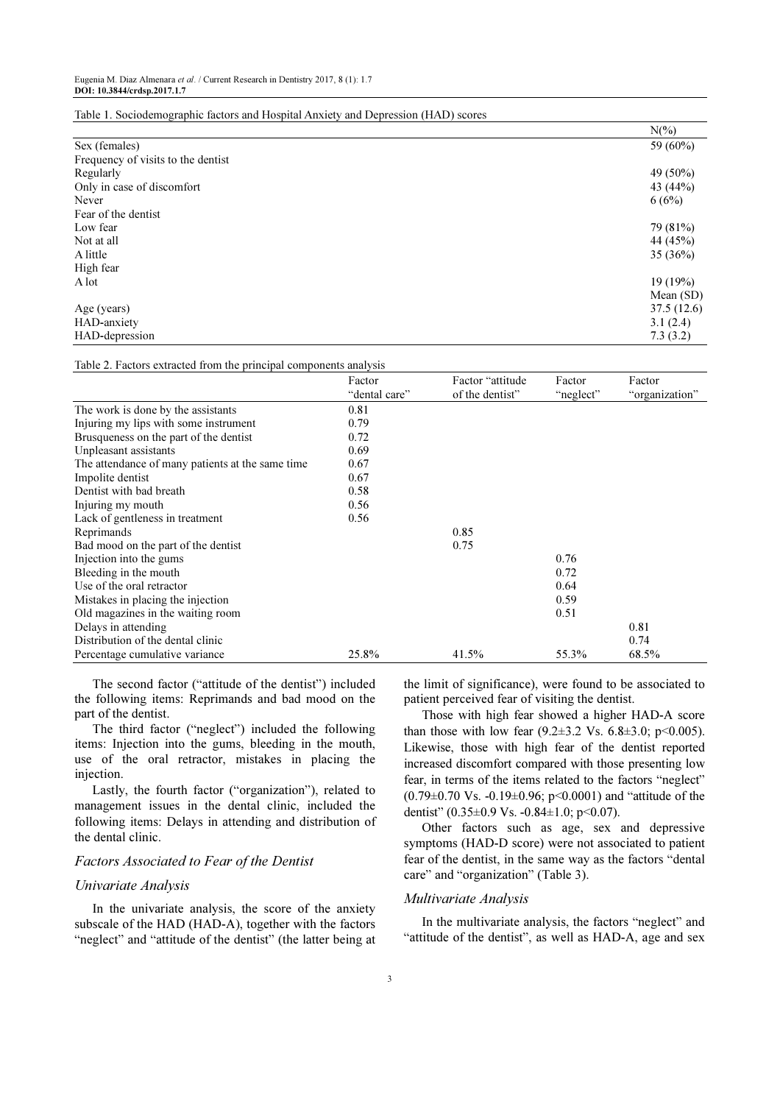|                                    | $N(\%)$     |
|------------------------------------|-------------|
| Sex (females)                      | 59 (60%)    |
| Frequency of visits to the dentist |             |
| Regularly                          | 49 (50%)    |
| Only in case of discomfort         | 43 (44%)    |
| Never                              | 6(6%)       |
| Fear of the dentist                |             |
| Low fear                           | 79 (81%)    |
| Not at all                         | 44 (45%)    |
| A little                           | 35(36%)     |
| High fear                          |             |
| A lot                              | 19(19%)     |
|                                    | Mean $(SD)$ |
| Age (years)                        | 37.5(12.6)  |
| HAD-anxiety                        | 3.1(2.4)    |
| HAD-depression                     | 7.3(3.2)    |

#### Table 1. Sociodemographic factors and Hospital Anxiety and Depression (HAD) scores

Table 2. Factors extracted from the principal components analysis

| rable 2. I actors extracted from the principal components and gold | Factor        | Factor "attitude" | Factor    | Factor         |
|--------------------------------------------------------------------|---------------|-------------------|-----------|----------------|
|                                                                    | "dental care" | of the dentist"   |           |                |
|                                                                    |               |                   | "neglect" | "organization" |
| The work is done by the assistants                                 | 0.81          |                   |           |                |
| Injuring my lips with some instrument                              | 0.79          |                   |           |                |
| Brusqueness on the part of the dentist                             | 0.72          |                   |           |                |
| Unpleasant assistants                                              | 0.69          |                   |           |                |
| The attendance of many patients at the same time                   | 0.67          |                   |           |                |
| Impolite dentist                                                   | 0.67          |                   |           |                |
| Dentist with bad breath                                            | 0.58          |                   |           |                |
| Injuring my mouth                                                  | 0.56          |                   |           |                |
| Lack of gentleness in treatment                                    | 0.56          |                   |           |                |
| Reprimands                                                         |               | 0.85              |           |                |
| Bad mood on the part of the dentist                                |               | 0.75              |           |                |
| Injection into the gums                                            |               |                   | 0.76      |                |
| Bleeding in the mouth                                              |               |                   | 0.72      |                |
| Use of the oral retractor                                          |               |                   | 0.64      |                |
| Mistakes in placing the injection                                  |               |                   | 0.59      |                |
| Old magazines in the waiting room                                  |               |                   | 0.51      |                |
| Delays in attending                                                |               |                   |           | 0.81           |
| Distribution of the dental clinic                                  |               |                   |           | 0.74           |
| Percentage cumulative variance                                     | 25.8%         | 41.5%             | 55.3%     | 68.5%          |

The second factor ("attitude of the dentist") included the following items: Reprimands and bad mood on the part of the dentist.

The third factor ("neglect") included the following items: Injection into the gums, bleeding in the mouth, use of the oral retractor, mistakes in placing the injection.

Lastly, the fourth factor ("organization"), related to management issues in the dental clinic, included the following items: Delays in attending and distribution of the dental clinic.

### Factors Associated to Fear of the Dentist

#### Univariate Analysis

In the univariate analysis, the score of the anxiety subscale of the HAD (HAD-A), together with the factors "neglect" and "attitude of the dentist" (the latter being at the limit of significance), were found to be associated to patient perceived fear of visiting the dentist.

Those with high fear showed a higher HAD-A score than those with low fear  $(9.2 \pm 3.2 \text{ Vs. } 6.8 \pm 3.0; \text{ p} < 0.005)$ . Likewise, those with high fear of the dentist reported increased discomfort compared with those presenting low fear, in terms of the items related to the factors "neglect"  $(0.79 \pm 0.70 \text{ Vs. } -0.19 \pm 0.96; \text{ p} \le 0.0001)$  and "attitude of the dentist"  $(0.35\pm0.9 \text{ Vs. } -0.84\pm1.0; \text{ p} < 0.07)$ .

Other factors such as age, sex and depressive symptoms (HAD-D score) were not associated to patient fear of the dentist, in the same way as the factors "dental care" and "organization" (Table 3).

## Multivariate Analysis

In the multivariate analysis, the factors "neglect" and "attitude of the dentist", as well as HAD-A, age and sex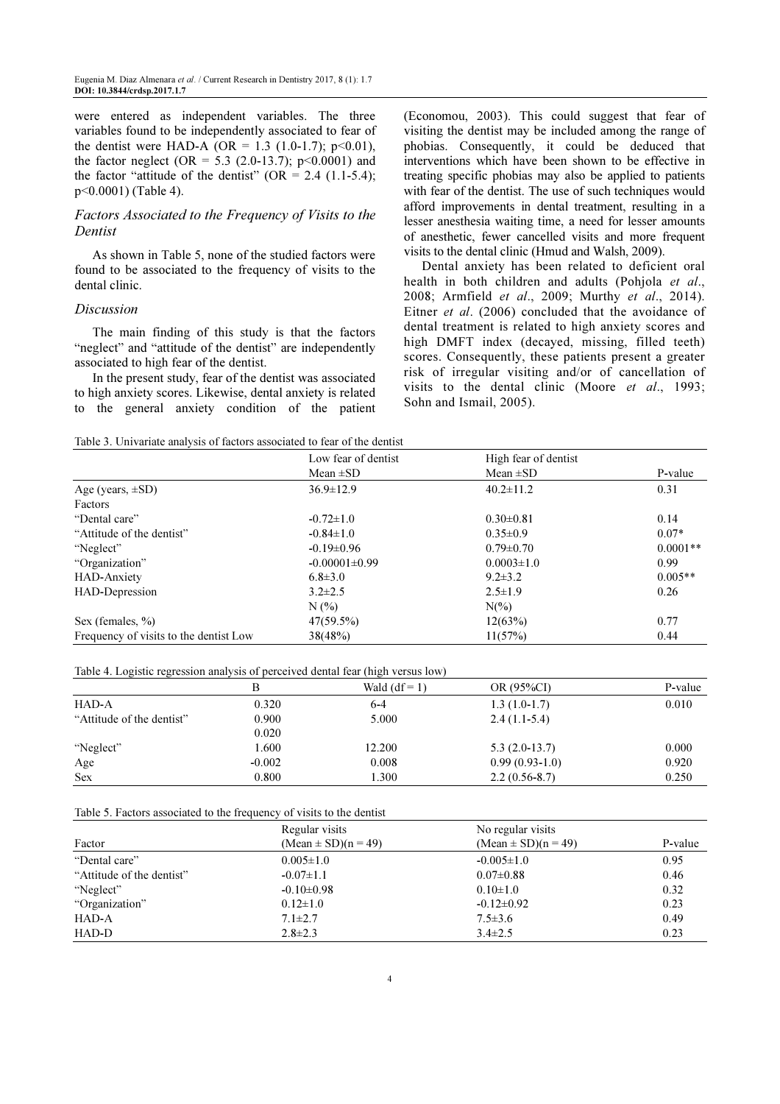were entered as independent variables. The three variables found to be independently associated to fear of the dentist were HAD-A (OR = 1.3 (1.0-1.7); p<0.01), the factor neglect (OR = 5.3 (2.0-13.7);  $p<0.0001$ ) and the factor "attitude of the dentist" (OR =  $2.4$  (1.1-5.4); p<0.0001) (Table 4).

## Factors Associated to the Frequency of Visits to the Dentist

As shown in Table 5, none of the studied factors were found to be associated to the frequency of visits to the dental clinic.

## Discussion

The main finding of this study is that the factors "neglect" and "attitude of the dentist" are independently associated to high fear of the dentist.

In the present study, fear of the dentist was associated to high anxiety scores. Likewise, dental anxiety is related to the general anxiety condition of the patient (Economou, 2003). This could suggest that fear of visiting the dentist may be included among the range of phobias. Consequently, it could be deduced that interventions which have been shown to be effective in treating specific phobias may also be applied to patients with fear of the dentist. The use of such techniques would afford improvements in dental treatment, resulting in a lesser anesthesia waiting time, a need for lesser amounts of anesthetic, fewer cancelled visits and more frequent visits to the dental clinic (Hmud and Walsh, 2009).

Dental anxiety has been related to deficient oral health in both children and adults (Pohjola et al., 2008; Armfield et al., 2009; Murthy et al., 2014). Eitner et al. (2006) concluded that the avoidance of dental treatment is related to high anxiety scores and high DMFT index (decayed, missing, filled teeth) scores. Consequently, these patients present a greater risk of irregular visiting and/or of cancellation of visits to the dental clinic (Moore et al., 1993; Sohn and Ismail, 2005).

| Table 3. Univariate analysis of factors associated to fear of the dentist |  |
|---------------------------------------------------------------------------|--|
|---------------------------------------------------------------------------|--|

|                                        | Low fear of dentist | High fear of dentist |            |
|----------------------------------------|---------------------|----------------------|------------|
|                                        | Mean $\pm SD$       | Mean $\pm SD$        | P-value    |
| Age (years, $\pm SD$ )                 | $36.9 \pm 12.9$     | $40.2 \pm 11.2$      | 0.31       |
| Factors                                |                     |                      |            |
| "Dental care"                          | $-0.72 \pm 1.0$     | $0.30 \pm 0.81$      | 0.14       |
| "Attitude of the dentist"              | $-0.84 \pm 1.0$     | $0.35 \pm 0.9$       | $0.07*$    |
| "Neglect"                              | $-0.19 \pm 0.96$    | $0.79 \pm 0.70$      | $0.0001**$ |
| "Organization"                         | $-0.00001 \pm 0.99$ | $0.0003 \pm 1.0$     | 0.99       |
| HAD-Anxiety                            | $6.8 \pm 3.0$       | $9.2 \pm 3.2$        | $0.005**$  |
| HAD-Depression                         | $3.2 \pm 2.5$       | $2.5 \pm 1.9$        | 0.26       |
|                                        | N(%)                | $N(\%)$              |            |
| Sex (females, $\%$ )                   | $47(59.5\%)$        | 12(63%)              | 0.77       |
| Frequency of visits to the dentist Low | 38(48%)             | 11(57%)              | 0.44       |

| Table 4. Logistic regression analysis of perceived dental fear (high versus low) |  |  |  |  |  |  |  |  |  |  |  |
|----------------------------------------------------------------------------------|--|--|--|--|--|--|--|--|--|--|--|
|----------------------------------------------------------------------------------|--|--|--|--|--|--|--|--|--|--|--|

|                           | B        | Wald $(df = 1)$ | OR (95%CI)       | P-value |
|---------------------------|----------|-----------------|------------------|---------|
| HAD-A                     | 0.320    | $6 - 4$         | $1.3(1.0-1.7)$   | 0.010   |
| "Attitude of the dentist" | 0.900    | 5.000           | $2.4(1.1-5.4)$   |         |
|                           | 0.020    |                 |                  |         |
| "Neglect"                 | 1.600    | 12.200          | $5.3(2.0-13.7)$  | 0.000   |
| Age                       | $-0.002$ | 0.008           | $0.99(0.93-1.0)$ | 0.920   |
| <b>Sex</b>                | 0.800    | 1.300           | $2.2(0.56-8.7)$  | 0.250   |

Table 5. Factors associated to the frequency of visits to the dentist

|                           | Regular visits          | No regular visits       |         |
|---------------------------|-------------------------|-------------------------|---------|
| Factor                    | $(Mean \pm SD)(n = 49)$ | $(Mean \pm SD)(n = 49)$ | P-value |
| "Dental care"             | $0.005 \pm 1.0$         | $-0.005 \pm 1.0$        | 0.95    |
| "Attitude of the dentist" | $-0.07 \pm 1.1$         | $0.07 \pm 0.88$         | 0.46    |
| "Neglect"                 | $-0.10 \pm 0.98$        | $0.10 \pm 1.0$          | 0.32    |
| "Organization"            | $0.12 \pm 1.0$          | $-0.12 \pm 0.92$        | 0.23    |
| HAD-A                     | $7.1 \pm 2.7$           | $7.5 \pm 3.6$           | 0.49    |
| HAD-D                     | $2.8 \pm 2.3$           | $3.4 \pm 2.5$           | 0.23    |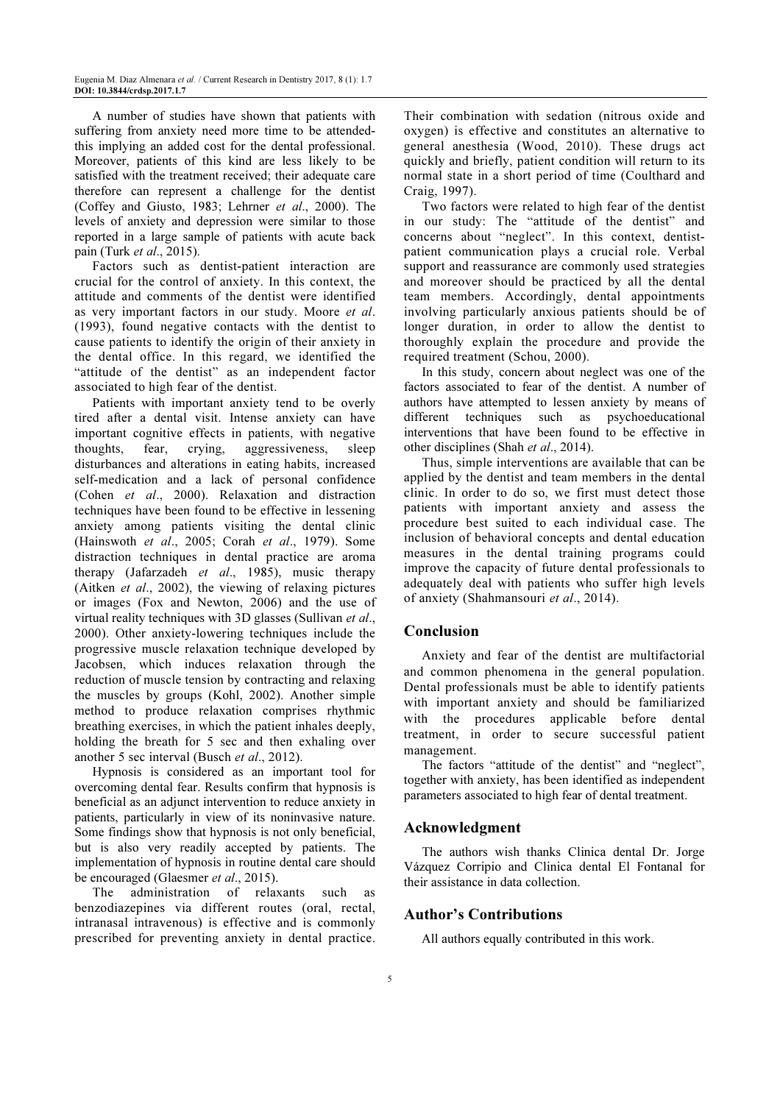A number of studies have shown that patients with suffering from anxiety need more time to be attendedthis implying an added cost for the dental professional. Moreover, patients of this kind are less likely to be satisfied with the treatment received; their adequate care therefore can represent a challenge for the dentist (Coffey and Giusto, 1983; Lehrner et al., 2000). The levels of anxiety and depression were similar to those reported in a large sample of patients with acute back pain (Turk et al., 2015).

Factors such as dentist-patient interaction are crucial for the control of anxiety. In this context, the attitude and comments of the dentist were identified as very important factors in our study. Moore et al. (1993), found negative contacts with the dentist to cause patients to identify the origin of their anxiety in the dental office. In this regard, we identified the "attitude of the dentist" as an independent factor associated to high fear of the dentist.

Patients with important anxiety tend to be overly tired after a dental visit. Intense anxiety can have important cognitive effects in patients, with negative thoughts, fear, crying, aggressiveness, sleep disturbances and alterations in eating habits, increased self-medication and a lack of personal confidence (Cohen et al., 2000). Relaxation and distraction techniques have been found to be effective in lessening anxiety among patients visiting the dental clinic (Hainswoth et al., 2005; Corah et al., 1979). Some distraction techniques in dental practice are aroma therapy (Jafarzadeh et al., 1985), music therapy (Aitken et al., 2002), the viewing of relaxing pictures or images (Fox and Newton, 2006) and the use of virtual reality techniques with 3D glasses (Sullivan et al., 2000). Other anxiety-lowering techniques include the progressive muscle relaxation technique developed by Jacobsen, which induces relaxation through the reduction of muscle tension by contracting and relaxing the muscles by groups (Kohl, 2002). Another simple method to produce relaxation comprises rhythmic breathing exercises, in which the patient inhales deeply, holding the breath for 5 sec and then exhaling over another 5 sec interval (Busch et al., 2012).

Hypnosis is considered as an important tool for overcoming dental fear. Results confirm that hypnosis is beneficial as an adjunct intervention to reduce anxiety in patients, particularly in view of its noninvasive nature. Some findings show that hypnosis is not only beneficial, but is also very readily accepted by patients. The implementation of hypnosis in routine dental care should be encouraged (Glaesmer et al., 2015).

The administration of relaxants such as benzodiazepines via different routes (oral, rectal, intranasal intravenous) is effective and is commonly prescribed for preventing anxiety in dental practice.

Their combination with sedation (nitrous oxide and oxygen) is effective and constitutes an alternative to general anesthesia (Wood, 2010). These drugs act quickly and briefly, patient condition will return to its normal state in a short period of time (Coulthard and Craig, 1997).

Two factors were related to high fear of the dentist in our study: The "attitude of the dentist" and concerns about "neglect". In this context, dentistpatient communication plays a crucial role. Verbal support and reassurance are commonly used strategies and moreover should be practiced by all the dental team members. Accordingly, dental appointments involving particularly anxious patients should be of longer duration, in order to allow the dentist to thoroughly explain the procedure and provide the required treatment (Schou, 2000).

In this study, concern about neglect was one of the factors associated to fear of the dentist. A number of authors have attempted to lessen anxiety by means of different techniques such as psychoeducational interventions that have been found to be effective in other disciplines (Shah et al., 2014).

Thus, simple interventions are available that can be applied by the dentist and team members in the dental clinic. In order to do so, we first must detect those patients with important anxiety and assess the procedure best suited to each individual case. The inclusion of behavioral concepts and dental education measures in the dental training programs could improve the capacity of future dental professionals to adequately deal with patients who suffer high levels of anxiety (Shahmansouri et al., 2014).

## Conclusion

Anxiety and fear of the dentist are multifactorial and common phenomena in the general population. Dental professionals must be able to identify patients with important anxiety and should be familiarized with the procedures applicable before dental treatment, in order to secure successful patient management.

The factors "attitude of the dentist" and "neglect", together with anxiety, has been identified as independent parameters associated to high fear of dental treatment.

## Acknowledgment

The authors wish thanks Clinica dental Dr. Jorge Vázquez Corripio and Clinica dental El Fontanal for their assistance in data collection.

## Author's Contributions

All authors equally contributed in this work.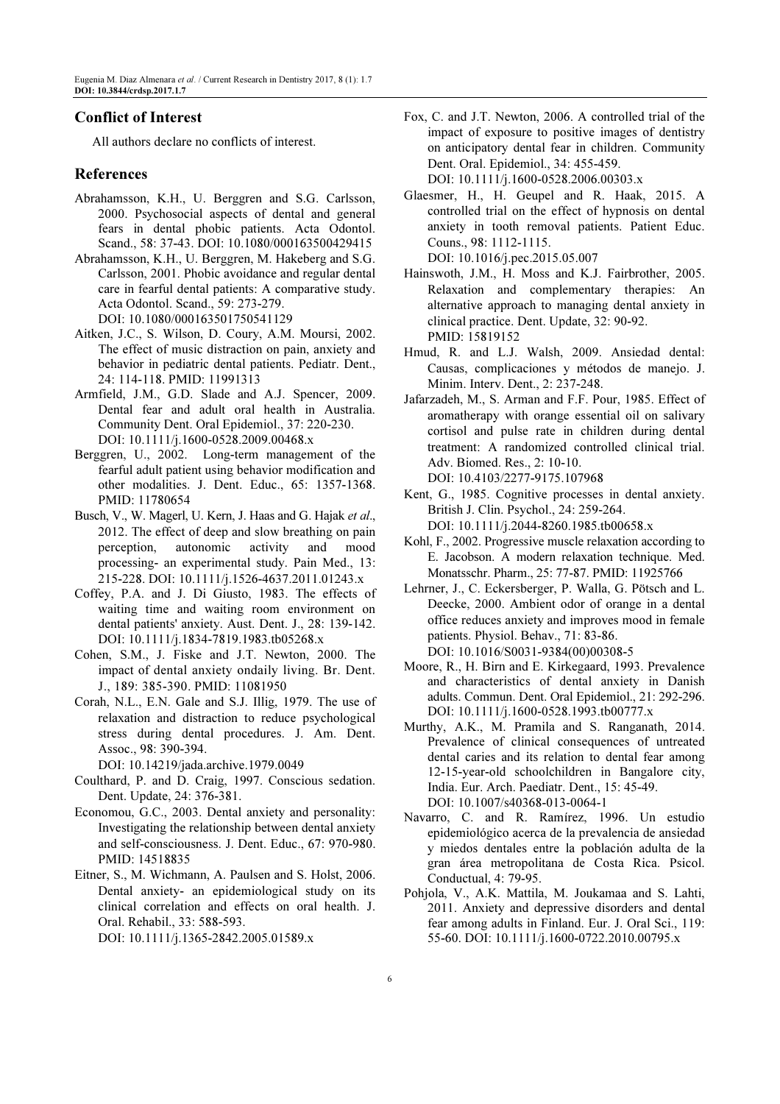## Conflict of Interest

All authors declare no conflicts of interest.

## References

- Abrahamsson, K.H., U. Berggren and S.G. Carlsson, 2000. Psychosocial aspects of dental and general fears in dental phobic patients. Acta Odontol. Scand., 58: 37-43. DOI: 10.1080/000163500429415
- Abrahamsson, K.H., U. Berggren, M. Hakeberg and S.G. Carlsson, 2001. Phobic avoidance and regular dental care in fearful dental patients: A comparative study. Acta Odontol. Scand., 59: 273-279. DOI: 10.1080/000163501750541129
- Aitken, J.C., S. Wilson, D. Coury, A.M. Moursi, 2002. The effect of music distraction on pain, anxiety and behavior in pediatric dental patients. Pediatr. Dent., 24: 114-118. PMID: 11991313
- Armfield, J.M., G.D. Slade and A.J. Spencer, 2009. Dental fear and adult oral health in Australia. Community Dent. Oral Epidemiol., 37: 220-230. DOI: 10.1111/j.1600-0528.2009.00468.x
- Berggren, U., 2002. Long-term management of the fearful adult patient using behavior modification and other modalities. J. Dent. Educ., 65: 1357-1368. PMID: 11780654
- Busch, V., W. Magerl, U. Kern, J. Haas and G. Hajak et al., 2012. The effect of deep and slow breathing on pain perception, autonomic activity and mood processing- an experimental study. Pain Med., 13: 215-228. DOI: 10.1111/j.1526-4637.2011.01243.x
- Coffey, P.A. and J. Di Giusto, 1983. The effects of waiting time and waiting room environment on dental patients' anxiety. Aust. Dent. J., 28: 139-142. DOI: 10.1111/j.1834-7819.1983.tb05268.x
- Cohen, S.M., J. Fiske and J.T. Newton, 2000. The impact of dental anxiety ondaily living. Br. Dent. J., 189: 385-390. PMID: 11081950
- Corah, N.L., E.N. Gale and S.J. Illig, 1979. The use of relaxation and distraction to reduce psychological stress during dental procedures. J. Am. Dent. Assoc., 98: 390-394.

DOI: 10.14219/jada.archive.1979.0049

- Coulthard, P. and D. Craig, 1997. Conscious sedation. Dent. Update, 24: 376-381.
- Economou, G.C., 2003. Dental anxiety and personality: Investigating the relationship between dental anxiety and self-consciousness. J. Dent. Educ., 67: 970-980. PMID: 14518835
- Eitner, S., M. Wichmann, A. Paulsen and S. Holst, 2006. Dental anxiety- an epidemiological study on its clinical correlation and effects on oral health. J. Oral. Rehabil., 33: 588-593.

DOI: 10.1111/j.1365-2842.2005.01589.x

Fox, C. and J.T. Newton, 2006. A controlled trial of the impact of exposure to positive images of dentistry on anticipatory dental fear in children. Community Dent. Oral. Epidemiol., 34: 455-459.

DOI: 10.1111/j.1600-0528.2006.00303.x

- Glaesmer, H., H. Geupel and R. Haak, 2015. A controlled trial on the effect of hypnosis on dental anxiety in tooth removal patients. Patient Educ. Couns., 98: 1112-1115. DOI: 10.1016/j.pec.2015.05.007
- Hainswoth, J.M., H. Moss and K.J. Fairbrother, 2005. Relaxation and complementary therapies: An alternative approach to managing dental anxiety in clinical practice. Dent. Update, 32: 90-92. PMID: 15819152
- Hmud, R. and L.J. Walsh, 2009. Ansiedad dental: Causas, complicaciones y métodos de manejo. J. Minim. Interv. Dent., 2: 237-248.
- Jafarzadeh, M., S. Arman and F.F. Pour, 1985. Effect of aromatherapy with orange essential oil on salivary cortisol and pulse rate in children during dental treatment: A randomized controlled clinical trial. Adv. Biomed. Res., 2: 10-10. DOI: 10.4103/2277-9175.107968
- Kent, G., 1985. Cognitive processes in dental anxiety. British J. Clin. Psychol., 24: 259-264. DOI: 10.1111/j.2044-8260.1985.tb00658.x
- Kohl, F., 2002. Progressive muscle relaxation according to E. Jacobson. A modern relaxation technique. Med. Monatsschr. Pharm., 25: 77-87. PMID: 11925766
- Lehrner, J., C. Eckersberger, P. Walla, G. Pötsch and L. Deecke, 2000. Ambient odor of orange in a dental office reduces anxiety and improves mood in female patients. Physiol. Behav., 71: 83-86. DOI: 10.1016/S0031-9384(00)00308-5
- Moore, R., H. Birn and E. Kirkegaard, 1993. Prevalence and characteristics of dental anxiety in Danish adults. Commun. Dent. Oral Epidemiol., 21: 292-296. DOI: 10.1111/j.1600-0528.1993.tb00777.x
- Murthy, A.K., M. Pramila and S. Ranganath, 2014. Prevalence of clinical consequences of untreated dental caries and its relation to dental fear among 12-15-year-old schoolchildren in Bangalore city, India. Eur. Arch. Paediatr. Dent., 15: 45-49. DOI: 10.1007/s40368-013-0064-1
- Navarro, C. and R. Ramírez, 1996. Un estudio epidemiológico acerca de la prevalencia de ansiedad y miedos dentales entre la población adulta de la gran área metropolitana de Costa Rica. Psicol. Conductual, 4: 79-95.
- Pohjola, V., A.K. Mattila, M. Joukamaa and S. Lahti, 2011. Anxiety and depressive disorders and dental fear among adults in Finland. Eur. J. Oral Sci., 119: 55-60. DOI: 10.1111/j.1600-0722.2010.00795.x